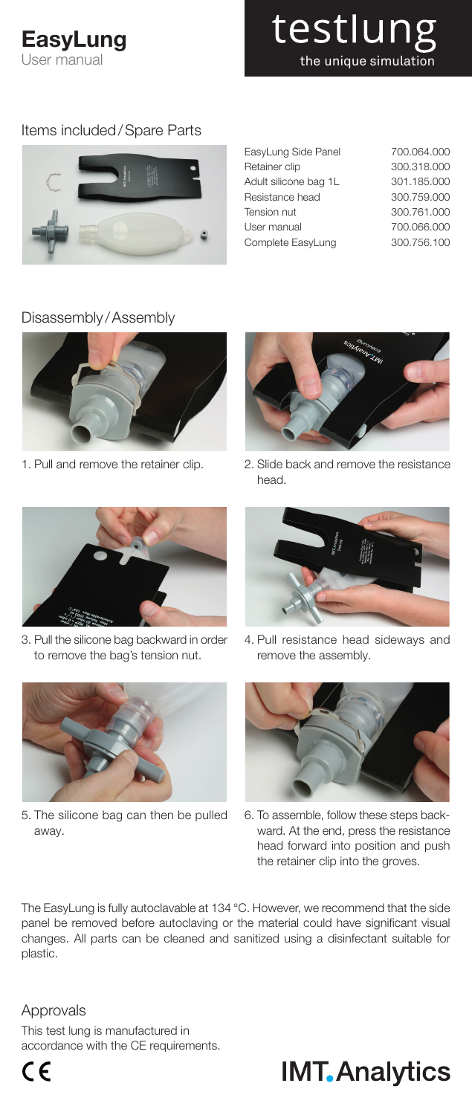### **EasyLung** User manual

testlung the unique simulation

### Items included/Spare Parts



| EasyLung Side Panel   | 700.064.000 |
|-----------------------|-------------|
| Retainer clip         | 300.318,000 |
| Adult silicone bag 1L | 301.185.000 |
| Resistance head       | 300.759.000 |
| Tension nut           | 300.761.000 |
| User manual           | 700.066.000 |
| Complete EasyLung     | 300.756.100 |

### Disassembly /Assembly



1. Pull and remove the retainer clip.



2. Slide back and remove the resistance head.



3. Pull the silicone bag backward in order to remove the bag's tension nut.



5. The silicone bag can then be pulled away.



4. Pull resistance head sideways and remove the assembly.



6. To assemble, follow these steps backward. At the end, press the resistance head forward into position and push the retainer clip into the groves.

The EasyLung is fully autoclavable at 134 °C. However, we recommend that the side panel be removed before autoclaving or the material could have significant visual changes. All parts can be cleaned and sanitized using a disinfectant suitable for plastic.

### Approvals

This test lung is manufactured in accordance with the CE requirements.

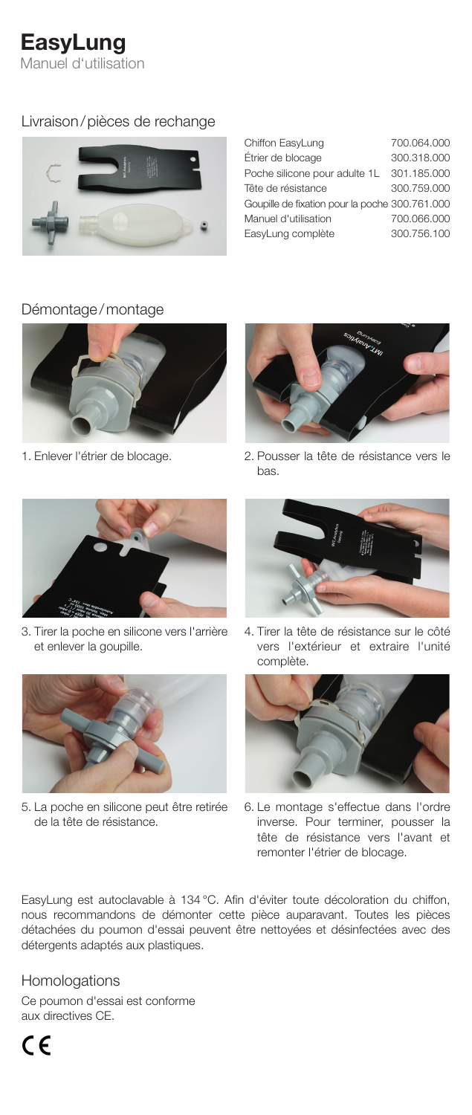# EasyLung

Manuel d'utilisation

### Livraison/pièces de rechange



| Chiffon EasyLung                               | 700.064.000 |
|------------------------------------------------|-------------|
| Étrier de blocage                              | 300.318.000 |
| Poche silicone pour adulte 1L                  | 301.185.000 |
| Tête de résistance                             | 300.759.000 |
| Goupille de fixation pour la poche 300.761.000 |             |
| Manuel d'utilisation                           | 700.066.000 |
| EasyLung complète                              | 300.756.100 |
|                                                |             |

### Démontage/montage



1. Enlever l'étrier de blocage.



3. Tirer la poche en silicone vers l'arrière et enlever la goupille.



5. La poche en silicone peut être retirée de la tête de résistance.



2. Pousser la tête de résistance vers le bas.



4. Tirer la tête de résistance sur le côté vers l'extérieur et extraire l'unité complète.



6. Le montage s'effectue dans l'ordre inverse. Pour terminer, pousser la tête de résistance vers l'avant et remonter l'étrier de blocage.

EasyLung est autoclavable à 134 °C. Afin d'éviter toute décoloration du chiffon, nous recommandons de démonter cette pièce auparavant. Toutes les pièces détachées du poumon d'essai peuvent être nettoyées et désinfectées avec des détergents adaptés aux plastiques.

### Homologations

Ce poumon d'essai est conforme aux directives CE.

 $\epsilon$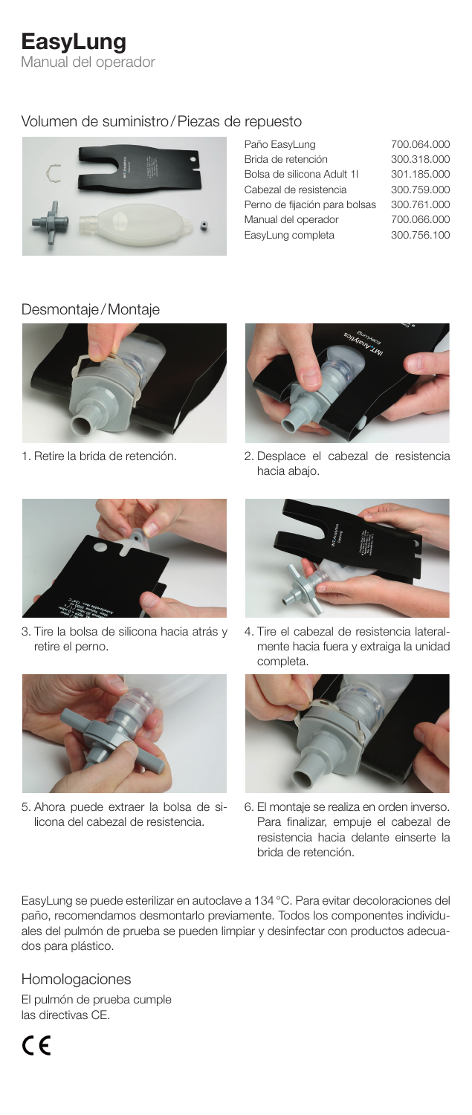## **EasyLung**

Manual del operador

### Volumen de suministro/Piezas de repuesto



| Paño EasyLung                 | 700.064.000 |
|-------------------------------|-------------|
| Brida de retención            | 300.318.000 |
| Bolsa de silicona Adult 11    | 301.185.000 |
| Cabezal de resistencia        | 300.759.000 |
| Perno de fijación para bolsas | 300.761.000 |
| Manual del operador           | 700.066.000 |
| EasyLung completa             | 300.756.100 |
|                               |             |

#### Desmontaje/Montaje







3. Tire la bolsa de silicona hacia atrás y retire el perno.



5. Ahora puede extraer la bolsa de silicona del cabezal de resistencia.



4. Tire el cabezal de resistencia lateralmente hacia fuera y extraiga la unidad completa.



6. El montaje se realiza en orden inverso. Para finalizar, empuje el cabezal de resistencia hacia delante einserte la brida de retención.

EasyLung se puede esterilizar en autoclave a 134 °C. Para evitar decoloraciones del paño, recomendamos desmontarlo previamente. Todos los componentes individuales del pulmón de prueba se pueden limpiar y desinfectar con productos adecuados para plástico.

### Homologaciones

El pulmón de prueba cumple las directivas CE.

 $\epsilon$